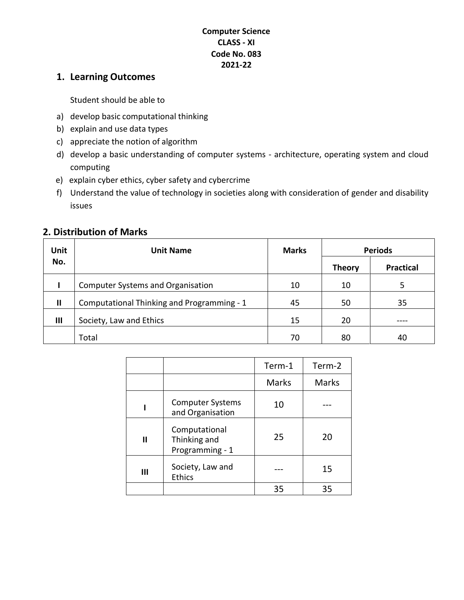#### **Computer Science CLASS - XI Code No. 083 2021-22**

### **1. Learning Outcomes**

Student should be able to

- a) develop basic computational thinking
- b) explain and use data types
- c) appreciate the notion of algorithm
- d) develop a basic understanding of computer systems architecture, operating system and cloud computing
- e) explain cyber ethics, cyber safety and cybercrime
- f) Understand the value of technology in societies along with consideration of gender and disability issues

| Unit         | <b>Unit Name</b>                           | <b>Marks</b> | <b>Periods</b> |                  |
|--------------|--------------------------------------------|--------------|----------------|------------------|
| No.          |                                            |              | <b>Theory</b>  | <b>Practical</b> |
|              | <b>Computer Systems and Organisation</b>   | 10           | 10             | 5                |
| $\mathbf{I}$ | Computational Thinking and Programming - 1 | 45           | 50             | 35               |
| Ш            | Society, Law and Ethics                    | 15           | 20             |                  |
|              | Total                                      | 70           | 80             | 40               |

#### **2. Distribution of Marks**

|              |                                                  | Term-1       | Term-2       |
|--------------|--------------------------------------------------|--------------|--------------|
|              |                                                  | <b>Marks</b> | <b>Marks</b> |
|              | <b>Computer Systems</b><br>and Organisation      | 10           |              |
| $\mathbf{I}$ | Computational<br>Thinking and<br>Programming - 1 | 25           | 20           |
| Ш            | Society, Law and<br><b>Ethics</b>                |              | 15           |
|              |                                                  | 35           | 35           |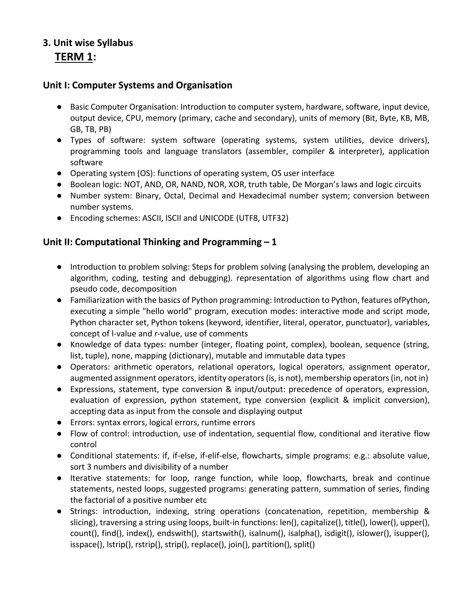## **3. Unit wise Syllabus TERM 1:**

#### **Unit I: Computer Systems and Organisation**

- Basic Computer Organisation: Introduction to computer system, hardware, software, input device, output device, CPU, memory (primary, cache and secondary), units of memory (Bit, Byte, KB, MB, GB, TB, PB)
- Types of software: system software (operating systems, system utilities, device drivers), programming tools and language translators (assembler, compiler & interpreter), application software
- Operating system (OS): functions of operating system, OS user interface
- Boolean logic: NOT, AND, OR, NAND, NOR, XOR, truth table, De Morgan's laws and logic circuits
- Number system: Binary, Octal, Decimal and Hexadecimal number system; conversion between number systems.
- Encoding schemes: ASCII, ISCII and UNICODE (UTF8, UTF32)

### **Unit II: Computational Thinking and Programming – 1**

- Introduction to problem solving: Steps for problem solving (analysing the problem, developing an algorithm, coding, testing and debugging). representation of algorithms using flow chart and pseudo code, decomposition
- Familiarization with the basics of Python programming: Introduction to Python, features ofPython, executing a simple "hello world" program, execution modes: interactive mode and script mode, Python character set, Python tokens (keyword, identifier, literal, operator, punctuator), variables, concept of l-value and r-value, use of comments
- Knowledge of data types: number (integer, floating point, complex), boolean, sequence (string, list, tuple), none, mapping (dictionary), mutable and immutable data types
- Operators: arithmetic operators, relational operators, logical operators, assignment operator, augmented assignment operators, identity operators(is, is not), membership operators(in, not in)
- Expressions, statement, type conversion & input/output: precedence of operators, expression, evaluation of expression, python statement, type conversion (explicit & implicit conversion), accepting data as input from the console and displaying output
- Errors: syntax errors, logical errors, runtime errors
- Flow of control: introduction, use of indentation, sequential flow, conditional and iterative flow control
- Conditional statements: if, if-else, if-elif-else, flowcharts, simple programs: e.g.: absolute value, sort 3 numbers and divisibility of a number
- Iterative statements: for loop, range function, while loop, flowcharts, break and continue statements, nested loops, suggested programs: generating pattern, summation of series, finding the factorial of a positive number etc
- Strings: introduction, indexing, string operations (concatenation, repetition, membership & slicing), traversing a string using loops, built-in functions: len(), capitalize(), title(), lower(), upper(), count(), find(), index(), endswith(), startswith(), isalnum(), isalpha(), isdigit(), islower(), isupper(), isspace(), lstrip(), rstrip(), strip(), replace(), join(), partition(), split()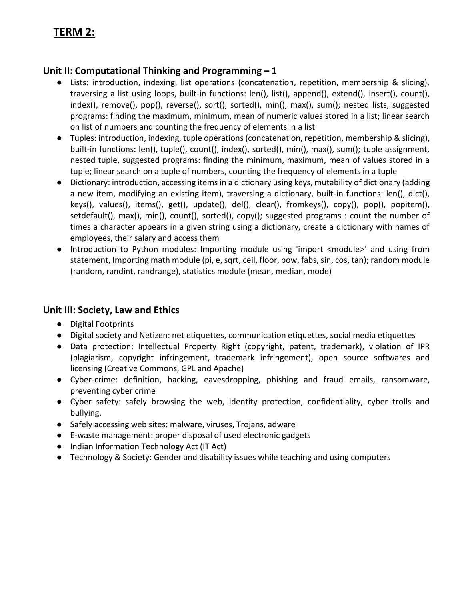# **TERM 2:**

### **Unit II: Computational Thinking and Programming – 1**

- Lists: introduction, indexing, list operations (concatenation, repetition, membership & slicing), traversing a list using loops, built-in functions: len(), list(), append(), extend(), insert(), count(), index(), remove(), pop(), reverse(), sort(), sorted(), min(), max(), sum(); nested lists, suggested programs: finding the maximum, minimum, mean of numeric values stored in a list; linear search on list of numbers and counting the frequency of elements in a list
- Tuples: introduction, indexing, tuple operations (concatenation, repetition, membership & slicing), built-in functions: len(), tuple(), count(), index(), sorted(), min(), max(), sum(); tuple assignment, nested tuple, suggested programs: finding the minimum, maximum, mean of values stored in a tuple; linear search on a tuple of numbers, counting the frequency of elements in a tuple
- Dictionary: introduction, accessing items in a dictionary using keys, mutability of dictionary (adding a new item, modifying an existing item), traversing a dictionary, built-in functions: len(), dict(), keys(), values(), items(), get(), update(), del(), clear(), fromkeys(), copy(), pop(), popitem(), setdefault(), max(), min(), count(), sorted(), copy(); suggested programs : count the number of times a character appears in a given string using a dictionary, create a dictionary with names of employees, their salary and access them
- Introduction to Python modules: Importing module using 'import <module>' and using from statement, Importing math module (pi, e, sqrt, ceil, floor, pow, fabs, sin, cos, tan); random module (random, randint, randrange), statistics module (mean, median, mode)

#### **Unit III: Society, Law and Ethics**

- Digital Footprints
- Digital society and Netizen: net etiquettes, communication etiquettes, social media etiquettes
- Data protection: Intellectual Property Right (copyright, patent, trademark), violation of IPR (plagiarism, copyright infringement, trademark infringement), open source softwares and licensing (Creative Commons, GPL and Apache)
- Cyber-crime: definition, hacking, eavesdropping, phishing and fraud emails, ransomware, preventing cyber crime
- Cyber safety: safely browsing the web, identity protection, confidentiality, cyber trolls and bullying.
- Safely accessing web sites: malware, viruses, Trojans, adware
- E-waste management: proper disposal of used electronic gadgets
- Indian Information Technology Act (IT Act)
- Technology & Society: Gender and disability issues while teaching and using computers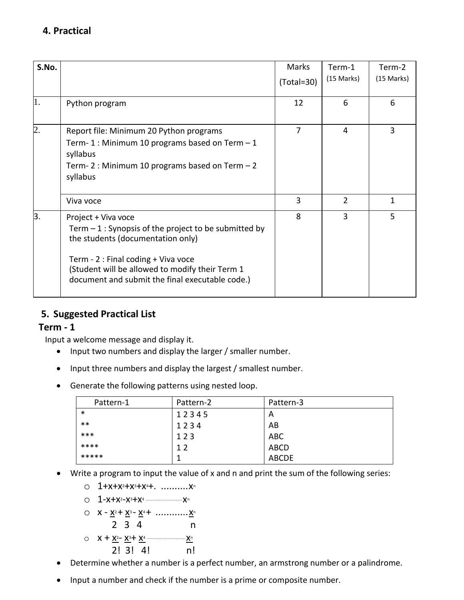| S.No.          |                                                                                                                                                                                                                                                                 | Marks<br>$(Total = 30)$ | Term-1<br>(15 Marks) | Term-2<br>(15 Marks) |
|----------------|-----------------------------------------------------------------------------------------------------------------------------------------------------------------------------------------------------------------------------------------------------------------|-------------------------|----------------------|----------------------|
| 1.             | Python program                                                                                                                                                                                                                                                  | 12                      | 6                    | 6                    |
| $\overline{2}$ | Report file: Minimum 20 Python programs<br>Term-1: Minimum 10 programs based on Term -1<br>syllabus<br>Term-2: Minimum 10 programs based on Term - 2<br>syllabus                                                                                                | 7                       | 4                    | 3                    |
|                | Viva voce                                                                                                                                                                                                                                                       | 3                       | $\overline{2}$       | 1                    |
| 3.             | Project + Viva voce<br>Term $-1$ : Synopsis of the project to be submitted by<br>the students (documentation only)<br>Term - 2 : Final coding + Viva voce<br>(Student will be allowed to modify their Term 1<br>document and submit the final executable code.) | 8                       | 3                    | 5                    |

## **5. Suggested Practical List**

### **Term - 1**

Input a welcome message and display it.

- Input two numbers and display the larger / smaller number.
- Input three numbers and display the largest / smallest number.
- Generate the following patterns using nested loop.

| Pattern-1 | Pattern-2      | Pattern-3    |
|-----------|----------------|--------------|
| $\ast$    | 12345          | A            |
| $***$     | 1234           | AB           |
| ***       | 123            | <b>ABC</b>   |
| ****      | 1 <sub>2</sub> | <b>ABCD</b>  |
| *****     |                | <b>ABCDE</b> |

- Write a program to input the value of x and n and print the sum of the following series:
	- $O$  1+x+x<sup>2</sup>+x<sup>3</sup>+x<sup>4</sup>+. ............ x<sup>n</sup>
	- o 1-x+x2-x3+x4 .................................x<sup>n</sup>
	- $Q$   $X \underline{X^2} + \underline{X^3} \underline{X^4} + \dots + \underline{X^n}$

$$
2 \t3 \t4 \t n
$$

$$
\circ \quad \mathsf{X} + \underline{\mathsf{X}^2} - \underline{\mathsf{X}^3} + \underline{\mathsf{X}^4} \longrightarrow \underline{\mathsf{X}^n}
$$
\n
$$
\begin{array}{c}\n 2! \ 3! \ 4! \quad n! \end{array}
$$

- Determine whether a number is a perfect number, an armstrong number or a palindrome.
- Input a number and check if the number is a prime or composite number.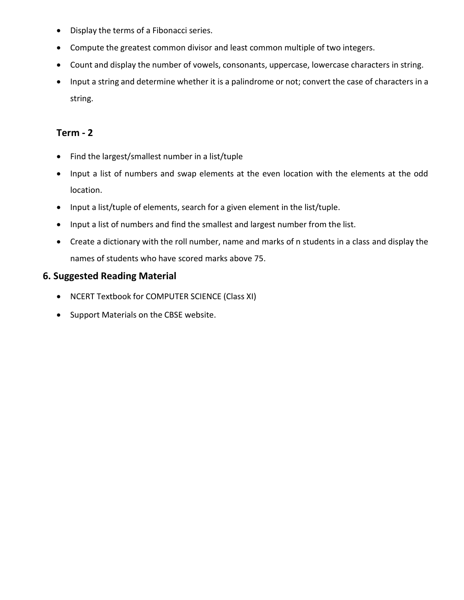- Display the terms of a Fibonacci series.
- Compute the greatest common divisor and least common multiple of two integers.
- Count and display the number of vowels, consonants, uppercase, lowercase characters in string.
- Input a string and determine whether it is a palindrome or not; convert the case of characters in a string.

## **Term - 2**

- Find the largest/smallest number in a list/tuple
- Input a list of numbers and swap elements at the even location with the elements at the odd location.
- Input a list/tuple of elements, search for a given element in the list/tuple.
- Input a list of numbers and find the smallest and largest number from the list.
- Create a dictionary with the roll number, name and marks of n students in a class and display the names of students who have scored marks above 75.

### **6. Suggested Reading Material**

- NCERT Textbook for COMPUTER SCIENCE (Class XI)
- Support Materials on the CBSE website.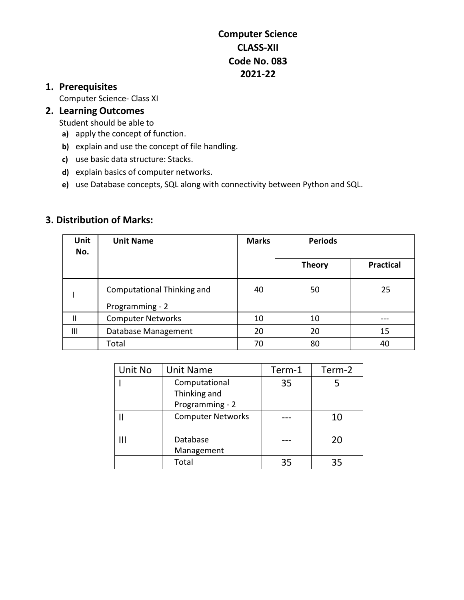## **Computer Science CLASS-XII Code No. 083 2021-22**

## **1. Prerequisites**

Computer Science- Class XI

## **2. Learning Outcomes**

Student should be able to

- **a)** apply the concept of function.
- **b)** explain and use the concept of file handling.
- **c)** use basic data structure: Stacks.
- **d)** explain basics of computer networks.
- **e)** use Database concepts, SQL along with connectivity between Python and SQL.

### **3. Distribution of Marks:**

| Unit<br>No. | <b>Unit Name</b>                              | <b>Marks</b> | <b>Periods</b> |                  |
|-------------|-----------------------------------------------|--------------|----------------|------------------|
|             |                                               |              | <b>Theory</b>  | <b>Practical</b> |
|             | Computational Thinking and<br>Programming - 2 | 40           | 50             | 25               |
| Ш           | <b>Computer Networks</b>                      | 10           | 10             |                  |
| Ш           | Database Management                           | 20           | 20             | 15               |
|             | Total                                         | 70           | 80             | 40               |

| Unit No | <b>Unit Name</b>         | Term-1 | Term-2 |
|---------|--------------------------|--------|--------|
|         | Computational            | 35     |        |
|         | Thinking and             |        |        |
|         | Programming - 2          |        |        |
|         | <b>Computer Networks</b> |        | 10     |
|         |                          |        |        |
|         | Database                 |        | 20     |
|         | Management               |        |        |
|         | Total                    | 35     | 35     |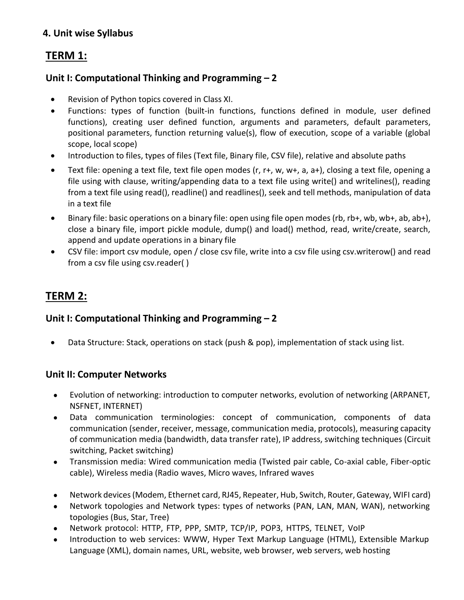## **4. Unit wise Syllabus**

## **TERM 1:**

## **Unit I: Computational Thinking and Programming – 2**

- Revision of Python topics covered in Class XI.
- Functions: types of function (built-in functions, functions defined in module, user defined functions), creating user defined function, arguments and parameters, default parameters, positional parameters, function returning value(s), flow of execution, scope of a variable (global scope, local scope)
- Introduction to files, types of files (Text file, Binary file, CSV file), relative and absolute paths
- Text file: opening a text file, text file open modes (r, r+, w, w+, a, a+), closing a text file, opening a file using with clause, writing/appending data to a text file using write() and writelines(), reading from a text file using read(), readline() and readlines(), seek and tell methods, manipulation of data in a text file
- Binary file: basic operations on a binary file: open using file open modes (rb, rb+, wb, wb+, ab, ab+), close a binary file, import pickle module, dump() and load() method, read, write/create, search, append and update operations in a binary file
- CSV file: import csv module, open / close csv file, write into a csv file using csv.writerow() and read from a csv file using csv.reader( )

# **TERM 2:**

### **Unit I: Computational Thinking and Programming – 2**

Data Structure: Stack, operations on stack (push & pop), implementation of stack using list.

### **Unit II: Computer Networks**

- Evolution of networking: introduction to computer networks, evolution of networking (ARPANET, NSFNET, INTERNET)
- Data communication terminologies: concept of communication, components of data communication (sender, receiver, message, communication media, protocols), measuring capacity of communication media (bandwidth, data transfer rate), IP address, switching techniques (Circuit switching, Packet switching)
- Transmission media: Wired communication media (Twisted pair cable, Co-axial cable, Fiber-optic cable), Wireless media (Radio waves, Micro waves, Infrared waves
- Network devices (Modem, Ethernet card, RJ45, Repeater, Hub, Switch, Router, Gateway, WIFI card)
- Network topologies and Network types: types of networks (PAN, LAN, MAN, WAN), networking topologies (Bus, Star, Tree)
- Network protocol: HTTP, FTP, PPP, SMTP, TCP/IP, POP3, HTTPS, TELNET, VoIP
- Introduction to web services: WWW, Hyper Text Markup Language (HTML), Extensible Markup Language (XML), domain names, URL, website, web browser, web servers, web hosting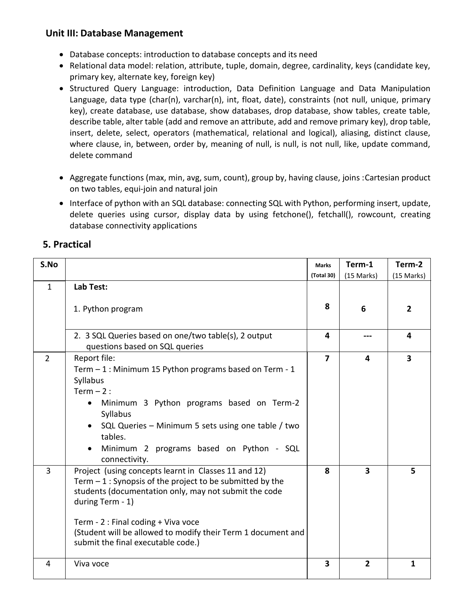## **Unit III: Database Management**

- Database concepts: introduction to database concepts and its need
- Relational data model: relation, attribute, tuple, domain, degree, cardinality, keys (candidate key, primary key, alternate key, foreign key)
- Structured Query Language: introduction, Data Definition Language and Data Manipulation Language, data type (char(n), varchar(n), int, float, date), constraints (not null, unique, primary key), create database, use database, show databases, drop database, show tables, create table, describe table, alter table (add and remove an attribute, add and remove primary key), drop table, insert, delete, select, operators (mathematical, relational and logical), aliasing, distinct clause, where clause, in, between, order by, meaning of null, is null, is not null, like, update command, delete command
- Aggregate functions (max, min, avg, sum, count), group by, having clause, joins : Cartesian product on two tables, equi-join and natural join
- Interface of python with an SQL database: connecting SQL with Python, performing insert, update, delete queries using cursor, display data by using fetchone(), fetchall(), rowcount, creating database connectivity applications

### **5. Practical**

| S.No           |                                                                                                                                                                                                                                                                                                                                              | <b>Marks</b>            | Term-1                  | Term-2                  |
|----------------|----------------------------------------------------------------------------------------------------------------------------------------------------------------------------------------------------------------------------------------------------------------------------------------------------------------------------------------------|-------------------------|-------------------------|-------------------------|
|                |                                                                                                                                                                                                                                                                                                                                              | (Total 30)              | (15 Marks)              | (15 Marks)              |
| $\mathbf{1}$   | Lab Test:                                                                                                                                                                                                                                                                                                                                    |                         |                         |                         |
|                | 1. Python program                                                                                                                                                                                                                                                                                                                            | 8                       | 6                       | $\overline{2}$          |
|                | 2. 3 SQL Queries based on one/two table(s), 2 output<br>questions based on SQL queries                                                                                                                                                                                                                                                       | 4                       | ---                     | 4                       |
| $\overline{2}$ | Report file:<br>Term $-1$ : Minimum 15 Python programs based on Term - 1<br>Syllabus<br>Term $-2$ :<br>Minimum 3 Python programs based on Term-2<br>$\bullet$<br>Syllabus<br>SQL Queries - Minimum 5 sets using one table / two<br>tables.<br>Minimum 2 programs based on Python - SQL<br>connectivity.                                      | $\overline{\mathbf{z}}$ | 4                       | $\overline{\mathbf{3}}$ |
| $\overline{3}$ | Project (using concepts learnt in Classes 11 and 12)<br>Term $-1$ : Synopsis of the project to be submitted by the<br>students (documentation only, may not submit the code<br>during Term - 1)<br>Term - 2 : Final coding + Viva voce<br>(Student will be allowed to modify their Term 1 document and<br>submit the final executable code.) | 8                       | $\overline{\mathbf{3}}$ | 5                       |
| 4              | Viva voce                                                                                                                                                                                                                                                                                                                                    | $\overline{\mathbf{3}}$ | $\overline{2}$          | 1                       |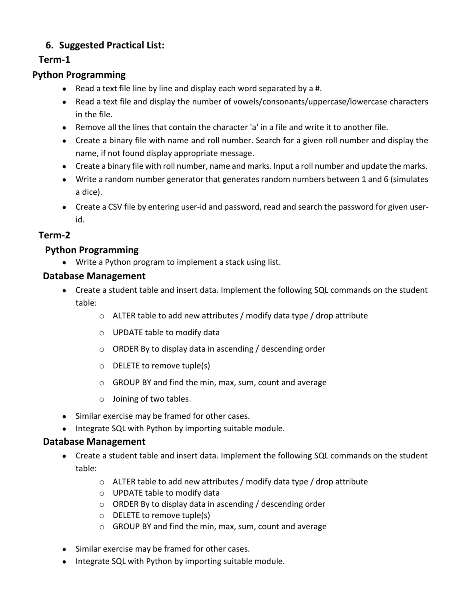## **6. Suggested Practical List:**

## **Term-1**

## **Python Programming**

- $\bullet$  Read a text file line by line and display each word separated by a #.
- Read a text file and display the number of vowels/consonants/uppercase/lowercase characters in the file.
- Remove all the lines that contain the character 'a' in a file and write it to another file.
- Create a binary file with name and roll number. Search for a given roll number and display the name, if not found display appropriate message.
- Create a binary file with roll number, name and marks. Input a roll number and update the marks.
- Write a random number generator that generates random numbers between 1 and 6 (simulates a dice).
- Create a CSV file by entering user-id and password, read and search the password for given userid.

### **Term-2**

### **Python Programming**

● Write a Python program to implement a stack using list.

### **Database Management**

- Create a student table and insert data. Implement the following SQL commands on the student table:
	- o ALTER table to add new attributes / modify data type / drop attribute
	- o UPDATE table to modify data
	- o ORDER By to display data in ascending / descending order
	- o DELETE to remove tuple(s)
	- o GROUP BY and find the min, max, sum, count and average
	- o Joining of two tables.
- Similar exercise may be framed for other cases.
- Integrate SQL with Python by importing suitable module.

#### **Database Management**

- Create a student table and insert data. Implement the following SQL commands on the student table:
	- o ALTER table to add new attributes / modify data type / drop attribute
	- o UPDATE table to modify data
	- o ORDER By to display data in ascending / descending order
	- o DELETE to remove tuple(s)
	- o GROUP BY and find the min, max, sum, count and average
- Similar exercise may be framed for other cases.
- Integrate SQL with Python by importing suitable module.